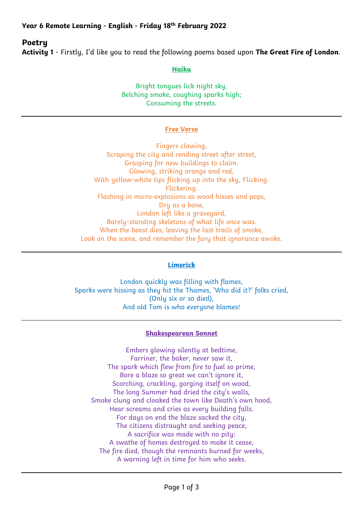# **Poetry**

**Activity 1** - Firstly, I'd like you to read the following poems based upon **The Great Fire of London**.

**Haiku**

Bright tongues lick night sky, Belching smoke, coughing sparks high; Consuming the streets.

#### **Free Verse**

Fingers clawing, Scraping the city and rending street after street, Grasping for new buildings to claim. Glowing, striking orange and red, With yellow-white tips flicking up into the sky, Flicking. Flickering. Flashing in micro-explosions as wood hisses and pops, Dry as a bone, London left like a graveyard, Barely-standing skeletons of what life once was. When the beast dies, leaving the last trails of smoke, Look on the scene, and remember the fury that ignorance awoke.

#### **Limerick**

London quickly was filling with flames, Sparks were hissing as they hit the Thames, 'Who did it?' folks cried, (Only six or so died), And old Tom is who everyone blames!

#### **Shakespearean Sonnet**

Embers glowing silently at bedtime, Farriner, the baker, never saw it, The spark which flew from fire to fuel so prime, Bore a blaze so great we can't ignore it, Scorching, crackling, gorging itself on wood, The long Summer had dried the city's walls, Smoke clung and cloaked the town like Death's own hood, Hear screams and cries as every building falls. For days on end the blaze sacked the city, The citizens distraught and seeking peace, A sacrifice was made with no pity: A swathe of homes destroyed to make it cease, The fire died, though the remnants burned for weeks, A warning left in time for him who seeks.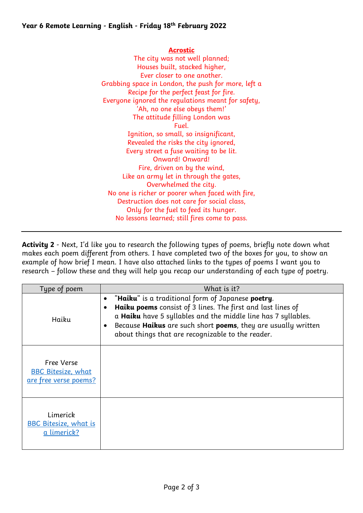#### **Year 6 Remote Learning - English - Friday 18th February 2022**

#### **Acrostic**

The city was not well planned; Houses built, stacked higher, Ever closer to one another. Grabbing space in London, the push for more, left a Recipe for the perfect feast for fire. Everyone ignored the regulations meant for safety, 'Ah, no one else obeys them!' The attitude filling London was Fuel. Ignition, so small, so insignificant, Revealed the risks the city ignored, Every street a fuse waiting to be lit. Onward! Onward! Fire, driven on by the wind, Like an army let in through the gates, Overwhelmed the city. No one is richer or poorer when faced with fire, Destruction does not care for social class, Only for the fuel to feed its hunger. No lessons learned; still fires come to pass.

**Activity 2** - Next, I'd like you to research the following types of poems, briefly note down what makes each poem different from others. I have completed two of the boxes for you, to show an example of how brief I mean. I have also attached links to the types of poems I want you to research – follow these and they will help you recap our understanding of each type of poetry.

| Type of poem                                                            | What is it?                                                                                                                                                                                                                                                                                                                                                   |
|-------------------------------------------------------------------------|---------------------------------------------------------------------------------------------------------------------------------------------------------------------------------------------------------------------------------------------------------------------------------------------------------------------------------------------------------------|
| Haiku                                                                   | "Haiku" is a traditional form of Japanese poetry.<br>$\bullet$<br>Haiku poems consist of 3 lines. The first and last lines of<br>$\bullet$<br>a Haiku have 5 syllables and the middle line has 7 syllables.<br>Because <b>Haikus</b> are such short <b>poems</b> , they are usually written<br>$\bullet$<br>about things that are recognizable to the reader. |
| Free Verse<br><b>BBC Bitesize, what</b><br><u>are free verse poems?</u> |                                                                                                                                                                                                                                                                                                                                                               |
| Limerick<br><b>BBC Bitesize, what is</b><br>a limerick?                 |                                                                                                                                                                                                                                                                                                                                                               |